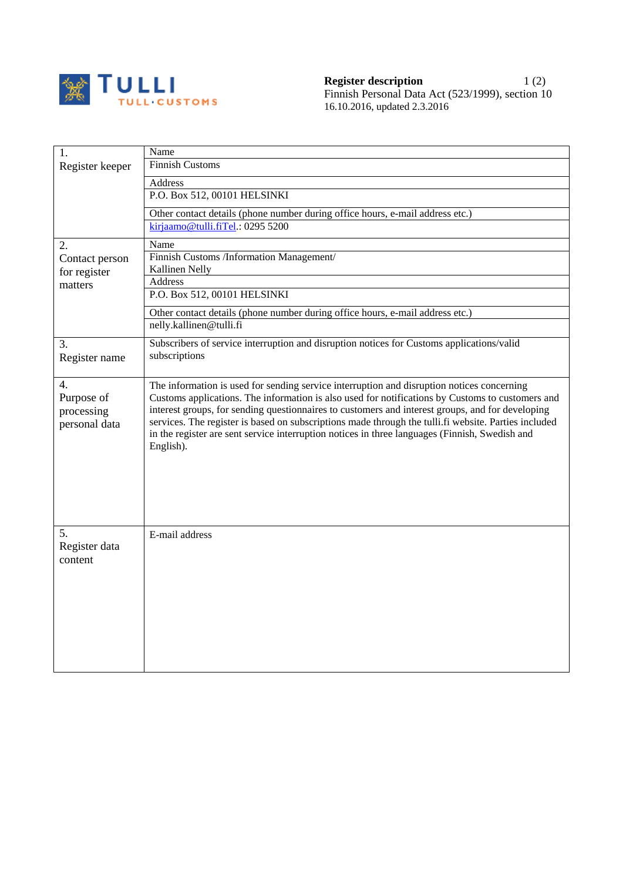

| Register keeper | Name<br><b>Finnish Customs</b>                                                                                                                                                                           |
|-----------------|----------------------------------------------------------------------------------------------------------------------------------------------------------------------------------------------------------|
|                 |                                                                                                                                                                                                          |
|                 | Address<br>P.O. Box 512, 00101 HELSINKI                                                                                                                                                                  |
|                 |                                                                                                                                                                                                          |
|                 | Other contact details (phone number during office hours, e-mail address etc.)                                                                                                                            |
|                 | kirjaamo@tulli.fiTel.: 0295 5200                                                                                                                                                                         |
| 2.              | Name                                                                                                                                                                                                     |
| Contact person  | Finnish Customs /Information Management/                                                                                                                                                                 |
| for register    | Kallinen Nelly<br>Address                                                                                                                                                                                |
| matters         | P.O. Box 512, 00101 HELSINKI                                                                                                                                                                             |
|                 | Other contact details (phone number during office hours, e-mail address etc.)                                                                                                                            |
|                 | nelly.kallinen@tulli.fi                                                                                                                                                                                  |
| 3.              | Subscribers of service interruption and disruption notices for Customs applications/valid                                                                                                                |
| Register name   | subscriptions                                                                                                                                                                                            |
|                 |                                                                                                                                                                                                          |
| 4.              | The information is used for sending service interruption and disruption notices concerning                                                                                                               |
| Purpose of      | Customs applications. The information is also used for notifications by Customs to customers and                                                                                                         |
| processing      | interest groups, for sending questionnaires to customers and interest groups, and for developing<br>services. The register is based on subscriptions made through the tulli.fi website. Parties included |
| personal data   | in the register are sent service interruption notices in three languages (Finnish, Swedish and                                                                                                           |
|                 | English).                                                                                                                                                                                                |
|                 |                                                                                                                                                                                                          |
|                 |                                                                                                                                                                                                          |
|                 |                                                                                                                                                                                                          |
|                 |                                                                                                                                                                                                          |
|                 |                                                                                                                                                                                                          |
| 5.              | E-mail address                                                                                                                                                                                           |
| Register data   |                                                                                                                                                                                                          |
| content         |                                                                                                                                                                                                          |
|                 |                                                                                                                                                                                                          |
|                 |                                                                                                                                                                                                          |
|                 |                                                                                                                                                                                                          |
|                 |                                                                                                                                                                                                          |
|                 |                                                                                                                                                                                                          |
|                 |                                                                                                                                                                                                          |
|                 |                                                                                                                                                                                                          |